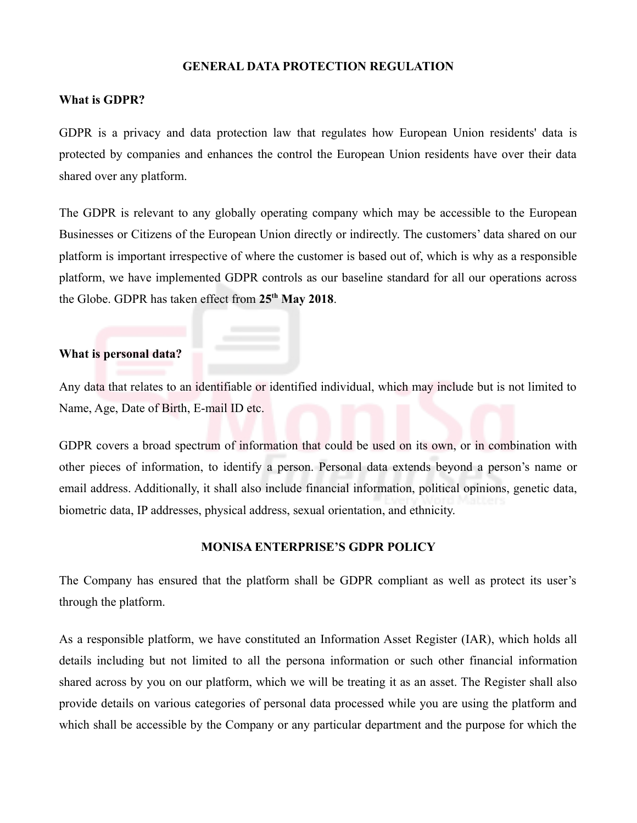### **GENERAL DATA PROTECTION REGULATION**

### **What is GDPR?**

GDPR is a privacy and data protection law that regulates how European Union residents' data is protected by companies and enhances the control the European Union residents have over their data shared over any platform.

The GDPR is relevant to any globally operating company which may be accessible to the European Businesses or Citizens of the European Union directly or indirectly. The customers' data shared on our platform is important irrespective of where the customer is based out of, which is why as a responsible platform, we have implemented GDPR controls as our baseline standard for all our operations across the Globe. GDPR has taken effect from **25th May 2018**.

## **What is personal data?**

Any data that relates to an identifiable or identified individual, which may include but is not limited to Name, Age, Date of Birth, E-mail ID etc.

GDPR covers a broad spectrum of information that could be used on its own, or in combination with other pieces of information, to identify a person. Personal data extends beyond a person's name or email address. Additionally, it shall also include financial information, political opinions, genetic data, biometric data, IP addresses, physical address, sexual orientation, and ethnicity.

### **MONISA ENTERPRISE'S GDPR POLICY**

The Company has ensured that the platform shall be GDPR compliant as well as protect its user's through the platform.

As a responsible platform, we have constituted an Information Asset Register (IAR), which holds all details including but not limited to all the persona information or such other financial information shared across by you on our platform, which we will be treating it as an asset. The Register shall also provide details on various categories of personal data processed while you are using the platform and which shall be accessible by the Company or any particular department and the purpose for which the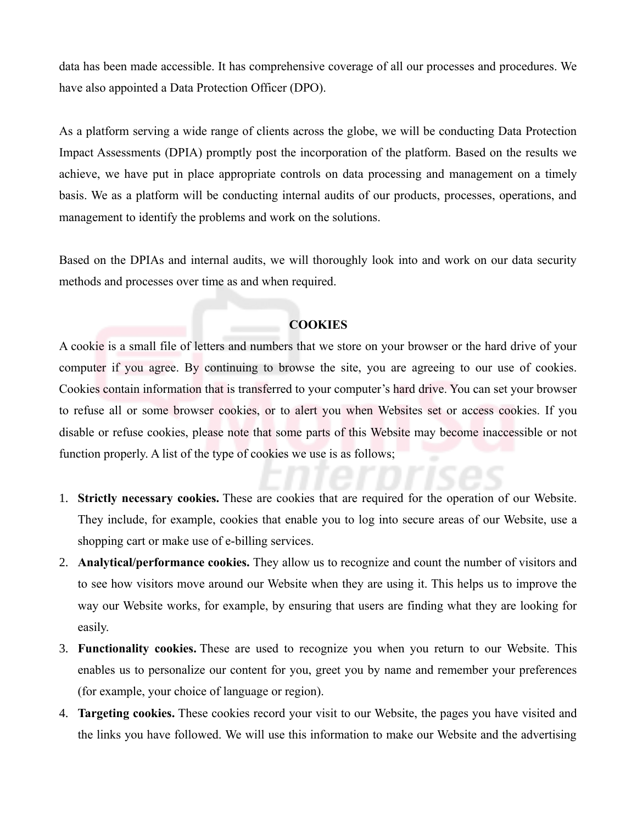data has been made accessible. It has comprehensive coverage of all our processes and procedures. We have also appointed a Data Protection Officer (DPO).

As a platform serving a wide range of clients across the globe, we will be conducting Data Protection Impact Assessments (DPIA) promptly post the incorporation of the platform. Based on the results we achieve, we have put in place appropriate controls on data processing and management on a timely basis. We as a platform will be conducting internal audits of our products, processes, operations, and management to identify the problems and work on the solutions.

Based on the DPIAs and internal audits, we will thoroughly look into and work on our data security methods and processes over time as and when required.

### **COOKIES**

A cookie is a small file of letters and numbers that we store on your browser or the hard drive of your computer if you agree. By continuing to browse the site, you are agreeing to our use of cookies. Cookies contain information that is transferred to your computer's hard drive. You can set your browser to refuse all or some browser cookies, or to alert you when Websites set or access cookies. If you disable or refuse cookies, please note that some parts of this Website may become inaccessible or not function properly. A list of the type of cookies we use is as follows;

- 1. **Strictly necessary cookies.** These are cookies that are required for the operation of our Website. They include, for example, cookies that enable you to log into secure areas of our Website, use a shopping cart or make use of e-billing services.
- 2. **Analytical/performance cookies.** They allow us to recognize and count the number of visitors and to see how visitors move around our Website when they are using it. This helps us to improve the way our Website works, for example, by ensuring that users are finding what they are looking for easily.
- 3. **Functionality cookies.** These are used to recognize you when you return to our Website. This enables us to personalize our content for you, greet you by name and remember your preferences (for example, your choice of language or region).
- 4. **Targeting cookies.** These cookies record your visit to our Website, the pages you have visited and the links you have followed. We will use this information to make our Website and the advertising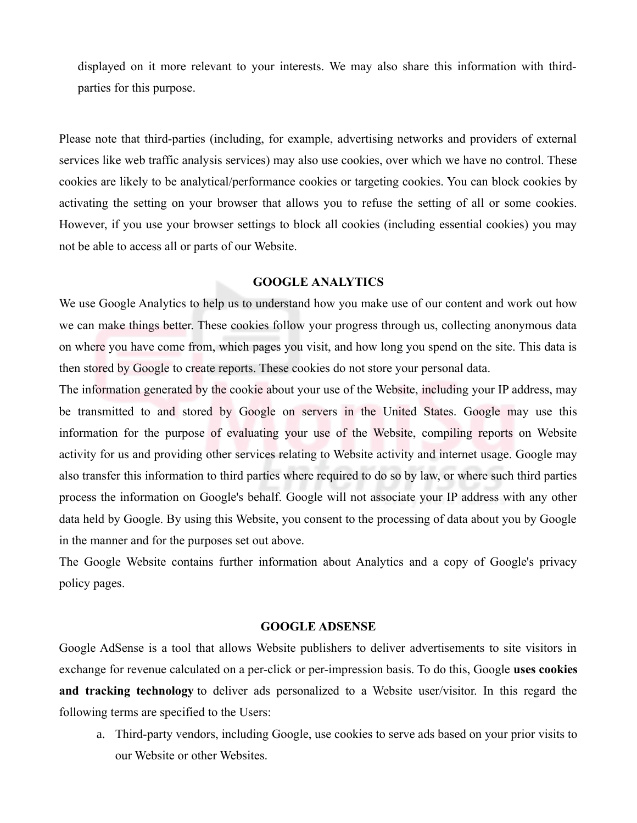displayed on it more relevant to your interests. We may also share this information with thirdparties for this purpose.

Please note that third-parties (including, for example, advertising networks and providers of external services like web traffic analysis services) may also use cookies, over which we have no control. These cookies are likely to be analytical/performance cookies or targeting cookies. You can block cookies by activating the setting on your browser that allows you to refuse the setting of all or some cookies. However, if you use your browser settings to block all cookies (including essential cookies) you may not be able to access all or parts of our Website.

#### **GOOGLE ANALYTICS**

We use Google Analytics to help us to understand how you make use of our content and work out how we can make things better. These cookies follow your progress through us, collecting anonymous data on where you have come from, which pages you visit, and how long you spend on the site. This data is then stored by Google to create reports. These cookies do not store your personal data.

The information generated by the cookie about your use of the Website, including your IP address, may be transmitted to and stored by Google on servers in the United States. Google may use this information for the purpose of evaluating your use of the Website, compiling reports on Website activity for us and providing other services relating to Website activity and internet usage. Google may also transfer this information to third parties where required to do so by law, or where such third parties process the information on Google's behalf. Google will not associate your IP address with any other data held by Google. By using this Website, you consent to the processing of data about you by Google in the manner and for the purposes set out above.

The Google Website contains further information about Analytics and a copy of Google's privacy policy pages.

#### **GOOGLE ADSENSE**

Google AdSense is a tool that allows Website publishers to deliver advertisements to site visitors in exchange for revenue calculated on a per-click or per-impression basis. To do this, Google **uses cookies and tracking technology** to deliver ads personalized to a Website user/visitor. In this regard the following terms are specified to the Users:

a. Third-party vendors, including Google, use cookies to serve ads based on your prior visits to our Website or other Websites.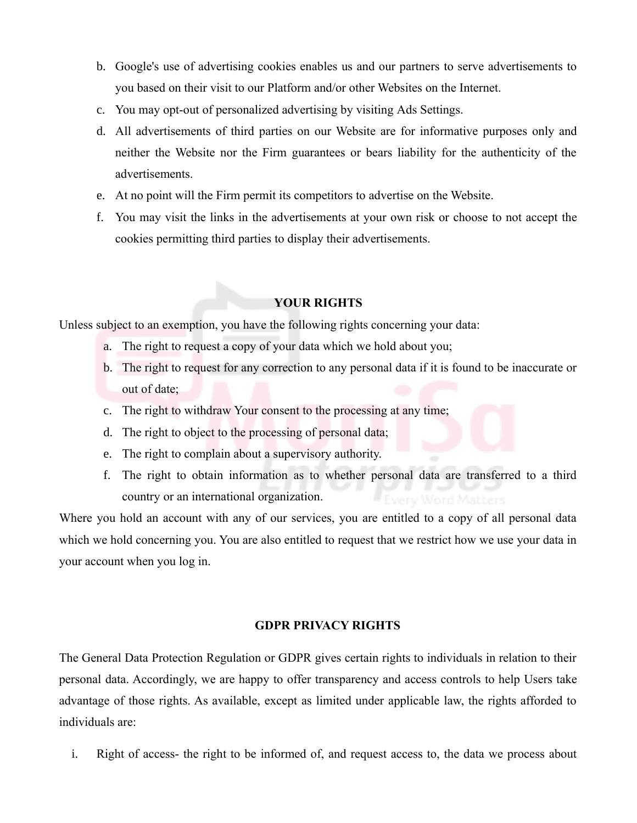- b. Google's use of advertising cookies enables us and our partners to serve advertisements to you based on their visit to our Platform and/or other Websites on the Internet.
- c. You may opt-out of personalized advertising by visiting Ads Settings.
- d. All advertisements of third parties on our Website are for informative purposes only and neither the Website nor the Firm guarantees or bears liability for the authenticity of the advertisements.
- e. At no point will the Firm permit its competitors to advertise on the Website.
- f. You may visit the links in the advertisements at your own risk or choose to not accept the cookies permitting third parties to display their advertisements.

# **YOUR RIGHTS**

Unless subject to an exemption, you have the following rights concerning your data:

- a. The right to request a copy of your data which we hold about you;
- b. The right to request for any correction to any personal data if it is found to be inaccurate or out of date;
- c. The right to withdraw Your consent to the processing at any time;
- d. The right to object to the processing of personal data;
- e. The right to complain about a supervisory authority.
- f. The right to obtain information as to whether personal data are transferred to a third country or an international organization.

Where you hold an account with any of our services, you are entitled to a copy of all personal data which we hold concerning you. You are also entitled to request that we restrict how we use your data in your account when you log in.

#### **GDPR PRIVACY RIGHTS**

The General Data Protection Regulation or GDPR gives certain rights to individuals in relation to their personal data. Accordingly, we are happy to offer transparency and access controls to help Users take advantage of those rights. As available, except as limited under applicable law, the rights afforded to individuals are:

i. Right of access- the right to be informed of, and request access to, the data we process about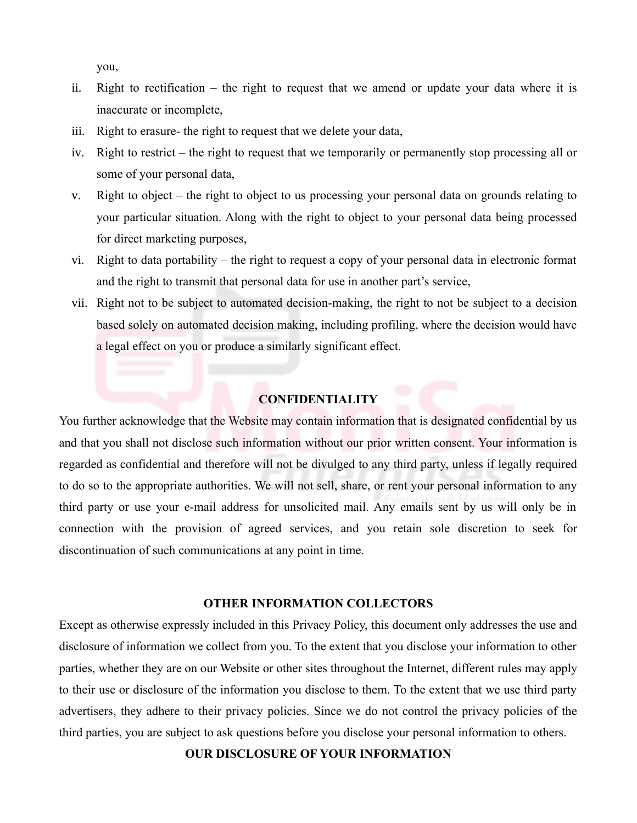you,

- ii. Right to rectification the right to request that we amend or update your data where it is inaccurate or incomplete,
- iii. Right to erasure- the right to request that we delete your data,
- iv. Right to restrict the right to request that we temporarily or permanently stop processing all or some of your personal data,
- v. Right to object the right to object to us processing your personal data on grounds relating to your particular situation. Along with the right to object to your personal data being processed for direct marketing purposes,
- vi. Right to data portability the right to request a copy of your personal data in electronic format and the right to transmit that personal data for use in another part's service,
- vii. Right not to be subject to automated decision-making, the right to not be subject to a decision based solely on automated decision making, including profiling, where the decision would have a legal effect on you or produce a similarly significant effect.

## **CONFIDENTIALITY**

You further acknowledge that the Website may contain information that is designated confidential by us and that you shall not disclose such information without our prior written consent. Your information is regarded as confidential and therefore will not be divulged to any third party, unless if legally required to do so to the appropriate authorities. We will not sell, share, or rent your personal information to any third party or use your e-mail address for unsolicited mail. Any emails sent by us will only be in connection with the provision of agreed services, and you retain sole discretion to seek for discontinuation of such communications at any point in time.

#### **OTHER INFORMATION COLLECTORS**

Except as otherwise expressly included in this Privacy Policy, this document only addresses the use and disclosure of information we collect from you. To the extent that you disclose your information to other parties, whether they are on our Website or other sites throughout the Internet, different rules may apply to their use or disclosure of the information you disclose to them. To the extent that we use third party advertisers, they adhere to their privacy policies. Since we do not control the privacy policies of the third parties, you are subject to ask questions before you disclose your personal information to others.

### **OUR DISCLOSURE OF YOUR INFORMATION**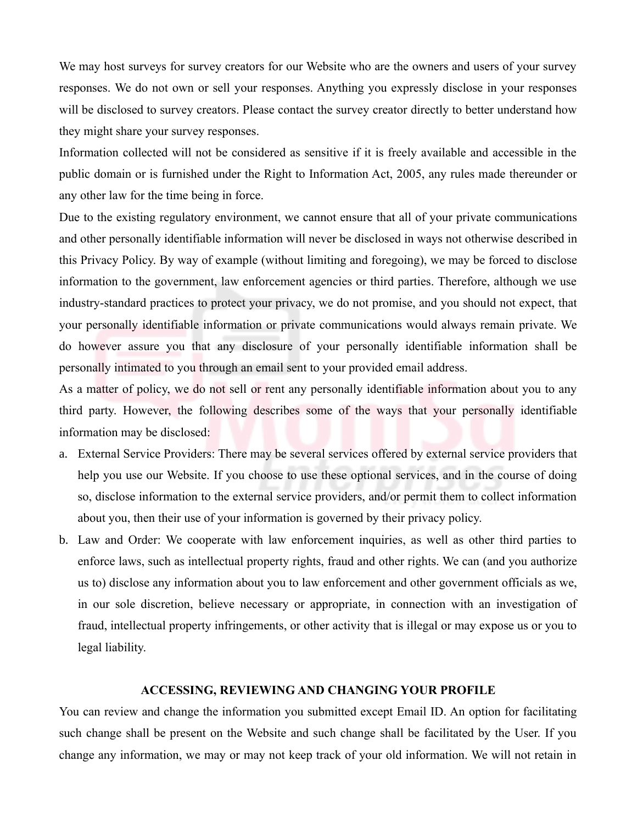We may host surveys for survey creators for our Website who are the owners and users of your survey responses. We do not own or sell your responses. Anything you expressly disclose in your responses will be disclosed to survey creators. Please contact the survey creator directly to better understand how they might share your survey responses.

Information collected will not be considered as sensitive if it is freely available and accessible in the public domain or is furnished under the Right to Information Act, 2005, any rules made thereunder or any other law for the time being in force.

Due to the existing regulatory environment, we cannot ensure that all of your private communications and other personally identifiable information will never be disclosed in ways not otherwise described in this Privacy Policy. By way of example (without limiting and foregoing), we may be forced to disclose information to the government, law enforcement agencies or third parties. Therefore, although we use industry-standard practices to protect your privacy, we do not promise, and you should not expect, that your personally identifiable information or private communications would always remain private. We do however assure you that any disclosure of your personally identifiable information shall be personally intimated to you through an email sent to your provided email address.

As a matter of policy, we do not sell or rent any personally identifiable information about you to any third party. However, the following describes some of the ways that your personally identifiable information may be disclosed:

- a. External Service Providers: There may be several services offered by external service providers that help you use our Website. If you choose to use these optional services, and in the course of doing so, disclose information to the external service providers, and/or permit them to collect information about you, then their use of your information is governed by their privacy policy.
- b. Law and Order: We cooperate with law enforcement inquiries, as well as other third parties to enforce laws, such as intellectual property rights, fraud and other rights. We can (and you authorize us to) disclose any information about you to law enforcement and other government officials as we, in our sole discretion, believe necessary or appropriate, in connection with an investigation of fraud, intellectual property infringements, or other activity that is illegal or may expose us or you to legal liability.

#### **ACCESSING, REVIEWING AND CHANGING YOUR PROFILE**

You can review and change the information you submitted except Email ID. An option for facilitating such change shall be present on the Website and such change shall be facilitated by the User. If you change any information, we may or may not keep track of your old information. We will not retain in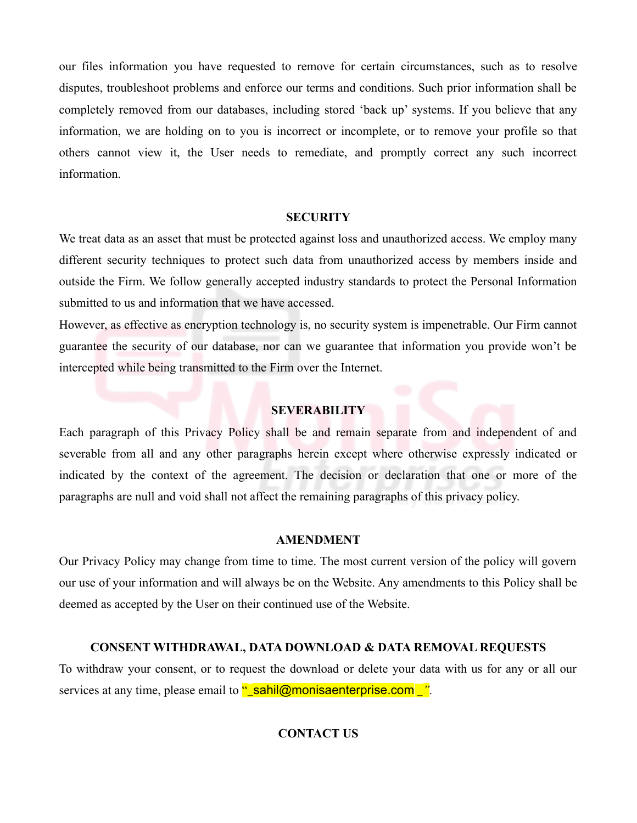our files information you have requested to remove for certain circumstances, such as to resolve disputes, troubleshoot problems and enforce our terms and conditions. Such prior information shall be completely removed from our databases, including stored 'back up' systems. If you believe that any information, we are holding on to you is incorrect or incomplete, or to remove your profile so that others cannot view it, the User needs to remediate, and promptly correct any such incorrect information.

### **SECURITY**

We treat data as an asset that must be protected against loss and unauthorized access. We employ many different security techniques to protect such data from unauthorized access by members inside and outside the Firm. We follow generally accepted industry standards to protect the Personal Information submitted to us and information that we have accessed.

However, as effective as encryption technology is, no security system is impenetrable. Our Firm cannot guarantee the security of our database, nor can we guarantee that information you provide won't be intercepted while being transmitted to the Firm over the Internet.

## **SEVERABILITY**

Each paragraph of this Privacy Policy shall be and remain separate from and independent of and severable from all and any other paragraphs herein except where otherwise expressly indicated or indicated by the context of the agreement. The decision or declaration that one or more of the paragraphs are null and void shall not affect the remaining paragraphs of this privacy policy.

### **AMENDMENT**

Our Privacy Policy may change from time to time. The most current version of the policy will govern our use of your information and will always be on the Website. Any amendments to this Policy shall be deemed as accepted by the User on their continued use of the Website.

# **CONSENT WITHDRAWAL, DATA DOWNLOAD & DATA REMOVAL REQUESTS**

To withdraw your consent, or to request the download or delete your data with us for any or all our services at any time, please email to **"\_sahil@monisaenterprise.com** \_".